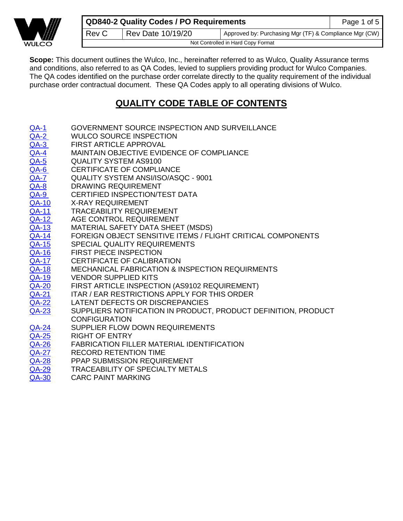

**Scope:** This document outlines the Wulco, Inc., hereinafter referred to as Wulco, Quality Assurance terms and conditions, also referred to as QA Codes, levied to suppliers providing product for Wulco Companies. The QA codes identified on the purchase order correlate directly to the quality requirement of the individual purchase order contractual document. These QA Codes apply to all operating divisions of Wulco.

# **QUALITY CODE TABLE OF CONTENTS**

- [QA-1](#page-0-0) GOVERNMENT SOURCE INSPECTION AND SURVEILLANCE
- [QA-2](#page-1-0) WULCO SOURCE INSPECTION
- [QA-3](#page-1-1) FIRST ARTICLE APPROVAL
- [QA-4](#page-1-2) MAINTAIN OBJECTIVE EVIDENCE OF COMPLIANCE
- [QA-5](#page-1-3) QUALITY SYSTEM AS9100
- [QA-6](#page-1-4) CERTIFICATE OF COMPLIANCE
- [QA-7](#page-1-5) QUALITY SYSTEM ANSI/ISO/ASQC 9001
- [QA-8](#page-1-6) DRAWING REQUIREMENT
- [QA-9](#page-1-7) CERTIFIED INSPECTION/TEST DATA
- [QA-10](#page-2-0) X-RAY REQUIREMENT
- [QA-11](#page-2-1) TRACEABILITY REQUIREMENT
- [QA-12](#page-2-2) AGE CONTROL REQUIREMENT
- [QA-13](#page-2-3) MATERIAL SAFETY DATA SHEET (MSDS)
- [QA-14](#page-2-4) FOREIGN OBJECT SENSITIVE ITEMS / FLIGHT CRITICAL COMPONENTS
- [QA-15](#page-2-5) SPECIAL QUALITY REQUIREMENTS
- [QA-16](#page-2-6) FIRST PIECE INSPECTION
- [QA-17](#page-2-7) CERTIFICATE OF CALIBRATION
- [QA-18](#page-3-0) MECHANICAL FABRICATION & INSPECTION REQUIRMENTS
- [QA-19](#page-3-1) VENDOR SUPPLIED KITS
- [QA-20](#page-3-2) FIRST ARTICLE INSPECTION (AS9102 REQUIREMENT)
- [QA-21](#page-3-3) ITAR / EAR RESTRICTIONS APPLY FOR THIS ORDER
- [QA-22](#page-3-4) LATENT DEFECTS OR DISCREPANCIES
- [QA-23](#page-3-5) SUPPLIERS NOTIFICATION IN PRODUCT, PRODUCT DEFINITION, PRODUCT CONFIGURATION
- [QA-24](#page-3-6) SUPPLIER FLOW DOWN REQUIREMENTS
- [QA-25](#page-3-7) RIGHT OF ENTRY
- [QA-26](#page-4-0) FABRICATION FILLER MATERIAL IDENTIFICATION
- [QA-27](#page-4-1) RECORD RETENTION TIME
- [QA-28](#page-4-1) PPAP SUBMISSION REQUIREMENT
- [QA-29](#page-4-2) TRACEABILITY OF SPECIALTY METALS
- <span id="page-0-0"></span>[QA-30](#page-4-3) CARC PAINT MARKING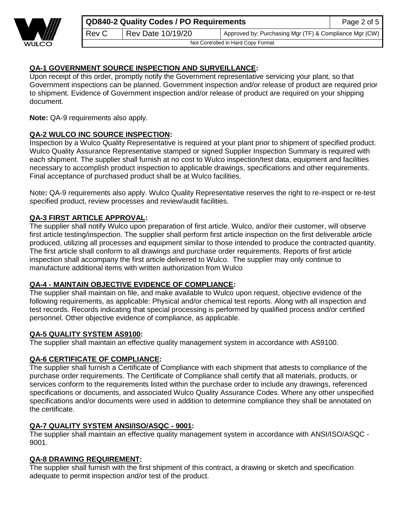

 $\text{Rev C}$  Rev Date 10/19/20 | Approved by: Purchasing Mgr (TF) & Compliance Mgr (CW)

Not Controlled in Hard Copy Format

# **QA-1 GOVERNMENT SOURCE INSPECTION AND SURVEILLANCE:**

Upon receipt of this order, promptly notify the Government representative servicing your plant, so that Government inspections can be planned. Government inspection and/or release of product are required prior to shipment. Evidence of Government inspection and/or release of product are required on your shipping document.

**Note:** QA-9 requirements also apply.

## <span id="page-1-0"></span>**QA-2 WULCO INC SOURCE INSPECTION:**

Inspection by a Wulco Quality Representative is required at your plant prior to shipment of specified product. Wulco Quality Assurance Representative stamped or signed Supplier Inspection Summary is required with each shipment. The supplier shall furnish at no cost to Wulco inspection/test data, equipment and facilities necessary to accomplish product inspection to applicable drawings, specifications and other requirements. Final acceptance of purchased product shall be at Wulco facilities.

Note**:** QA-9 requirements also apply. Wulco Quality Representative reserves the right to re-inspect or re-test specified product, review processes and review/audit facilities.

## <span id="page-1-1"></span>**QA-3 FIRST ARTICLE APPROVAL:**

The supplier shall notify Wulco upon preparation of first article. Wulco, and/or their customer, will observe first article testing/inspection. The supplier shall perform first article inspection on the first deliverable article produced, utilizing all processes and equipment similar to those intended to produce the contracted quantity. The first article shall conform to all drawings and purchase order requirements. Reports of first article inspection shall accompany the first article delivered to Wulco. The supplier may only continue to manufacture additional items with written authorization from Wulco

## <span id="page-1-2"></span>**QA-4 - MAINTAIN OBJECTIVE EVIDENCE OF COMPLIANCE:**

The supplier shall maintain on file, and make available to Wulco upon request, objective evidence of the following requirements, as applicable: Physical and/or chemical test reports. Along with all inspection and test records. Records indicating that special processing is performed by qualified process and/or certified personnel. Other objective evidence of compliance, as applicable.

#### <span id="page-1-3"></span>**QA-5 QUALITY SYSTEM AS9100:**

The supplier shall maintain an effective quality management system in accordance with AS9100.

#### <span id="page-1-4"></span>**QA-6 CERTIFICATE OF COMPLIANCE:**

The supplier shall furnish a Certificate of Compliance with each shipment that attests to compliance of the purchase order requirements. The Certificate of Compliance shall certify that all materials, products, or services conform to the requirements listed within the purchase order to include any drawings, referenced specifications or documents, and associated Wulco Quality Assurance Codes. Where any other unspecified specifications and/or documents were used in addition to determine compliance they shall be annotated on the certificate.

#### <span id="page-1-5"></span>**QA-7 QUALITY SYSTEM ANSI/ISO/ASQC - 9001:**

<span id="page-1-6"></span>The supplier shall maintain an effective quality management system in accordance with ANSI/ISO/ASQC - 9001.

#### **QA-8 DRAWING REQUIREMENT:**

<span id="page-1-7"></span>The supplier shall furnish with the first shipment of this contract, a drawing or sketch and specification adequate to permit inspection and/or test of the product.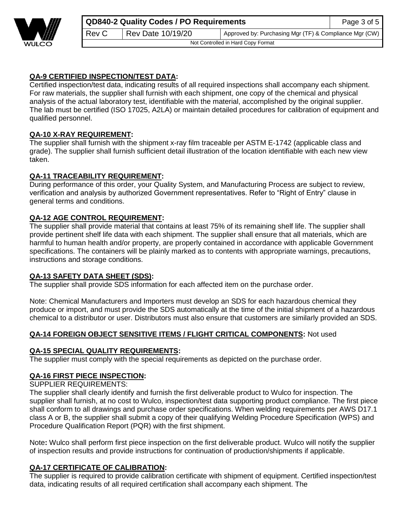

Not Controlled in Hard Copy Format

**QA-9 CERTIFIED INSPECTION/TEST DATA:**

Certified inspection/test data, indicating results of all required inspections shall accompany each shipment. For raw materials, the supplier shall furnish with each shipment, one copy of the chemical and physical analysis of the actual laboratory test, identifiable with the material, accomplished by the original supplier. The lab must be certified (ISO 17025, A2LA) or maintain detailed procedures for calibration of equipment and qualified personnel.

## <span id="page-2-0"></span>**QA-10 X-RAY REQUIREMENT:**

The supplier shall furnish with the shipment x-ray film traceable per ASTM E-1742 (applicable class and grade). The supplier shall furnish sufficient detail illustration of the location identifiable with each new view taken.

## <span id="page-2-1"></span>**QA-11 TRACEABILITY REQUIREMENT:**

During performance of this order, your Quality System, and Manufacturing Process are subject to review, verification and analysis by authorized Government representatives. Refer to "Right of Entry" clause in general terms and conditions.

## <span id="page-2-2"></span>**QA-12 AGE CONTROL REQUIREMENT:**

The supplier shall provide material that contains at least 75% of its remaining shelf life. The supplier shall provide pertinent shelf life data with each shipment. The supplier shall ensure that all materials, which are harmful to human health and/or property, are properly contained in accordance with applicable Government specifications. The containers will be plainly marked as to contents with appropriate warnings, precautions, instructions and storage conditions.

#### <span id="page-2-3"></span>**QA-13 SAFETY DATA SHEET (SDS):**

The supplier shall provide SDS information for each affected item on the purchase order.

Note: Chemical Manufacturers and Importers must develop an SDS for each hazardous chemical they produce or import, and must provide the SDS automatically at the time of the initial shipment of a hazardous chemical to a distributor or user. Distributors must also ensure that customers are similarly provided an SDS.

#### <span id="page-2-5"></span><span id="page-2-4"></span>**QA-14 FOREIGN OBJECT SENSITIVE ITEMS / FLIGHT CRITICAL COMPONENTS:** Not used

#### **QA-15 SPECIAL QUALITY REQUIREMENTS:**

The supplier must comply with the special requirements as depicted on the purchase order.

# <span id="page-2-6"></span>**QA-16 FIRST PIECE INSPECTION:**

SUPPLIER REQUIREMENTS:

The supplier shall clearly identify and furnish the first deliverable product to Wulco for inspection. The supplier shall furnish, at no cost to Wulco, inspection/test data supporting product compliance. The first piece shall conform to all drawings and purchase order specifications. When welding requirements per AWS D17.1 class A or B, the supplier shall submit a copy of their qualifying Welding Procedure Specification (WPS) and Procedure Qualification Report (PQR) with the first shipment.

Note**:** Wulco shall perform first piece inspection on the first deliverable product. Wulco will notify the supplier of inspection results and provide instructions for continuation of production/shipments if applicable.

# <span id="page-2-7"></span>**QA-17 CERTIFICATE OF CALIBRATION:**

The supplier is required to provide calibration certificate with shipment of equipment. Certified inspection/test data, indicating results of all required certification shall accompany each shipment. The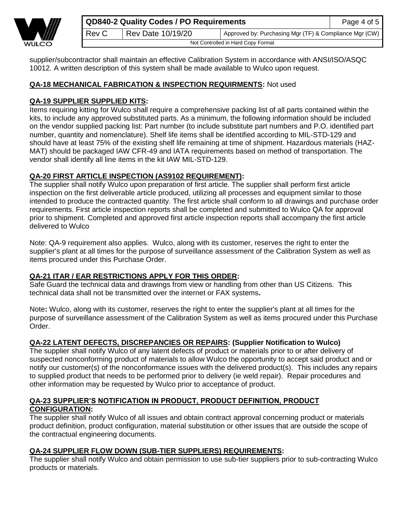

supplier/subcontractor shall maintain an effective Calibration System in accordance with ANSI/ISO/ASQC 10012. A written description of this system shall be made available to Wulco upon request.

# <span id="page-3-0"></span>**QA-18 MECHANICAL FABRICATION & INSPECTION REQUIRMENTS:** Not used

# <span id="page-3-1"></span>**QA-19 SUPPLIER SUPPLIED KITS:**

Items requiring kitting for Wulco shall require a comprehensive packing list of all parts contained within the kits, to include any approved substituted parts. As a minimum, the following information should be included on the vendor supplied packing list: Part number (to include substitute part numbers and P.O. identified part number, quantity and nomenclature). Shelf life items shall be identified according to MIL-STD-129 and should have at least 75% of the existing shelf life remaining at time of shipment. Hazardous materials (HAZ-MAT) should be packaged IAW CFR-49 and IATA requirements based on method of transportation. The vendor shall identify all line items in the kit IAW MIL-STD-129.

# <span id="page-3-2"></span>**QA-20 FIRST ARTICLE INSPECTION (AS9102 REQUIREMENT):**

The supplier shall notify Wulco upon preparation of first article. The supplier shall perform first article inspection on the first deliverable article produced, utilizing all processes and equipment similar to those intended to produce the contracted quantity. The first article shall conform to all drawings and purchase order requirements. First article inspection reports shall be completed and submitted to Wulco QA for approval prior to shipment. Completed and approved first article inspection reports shall accompany the first article delivered to Wulco

Note: QA-9 requirement also applies. Wulco, along with its customer, reserves the right to enter the supplier's plant at all times for the purpose of surveillance assessment of the Calibration System as well as items procured under this Purchase Order.

# <span id="page-3-3"></span>**QA-21 ITAR / EAR RESTRICTIONS APPLY FOR THIS ORDER:**

Safe Guard the technical data and drawings from view or handling from other than US Citizens. This technical data shall not be transmitted over the internet or FAX systems**.**

Note**:** Wulco, along with its customer, reserves the right to enter the supplier's plant at all times for the purpose of surveillance assessment of the Calibration System as well as items procured under this Purchase Order.

# <span id="page-3-4"></span>**QA-22 LATENT DEFECTS, DISCREPANCIES OR REPAIRS: (Supplier Notification to Wulco)**

The supplier shall notify Wulco of any latent defects of product or materials prior to or after delivery of suspected nonconforming product of materials to allow Wulco the opportunity to accept said product and or notify our customer(s) of the nonconformance issues with the delivered product(s). This includes any repairs to supplied product that needs to be performed prior to delivery (ie weld repair). Repair procedures and other information may be requested by Wulco prior to acceptance of product.

## <span id="page-3-5"></span>**QA-23 SUPPLIER'S NOTIFICATION IN PRODUCT, PRODUCT DEFINITION, PRODUCT CONFIGURATION:**

The supplier shall notify Wulco of all issues and obtain contract approval concerning product or materials product definition, product configuration, material substitution or other issues that are outside the scope of the contractual engineering documents.

# <span id="page-3-6"></span>**QA-24 SUPPLIER FLOW DOWN (SUB-TIER SUPPLIERS) REQUIREMENTS:**

<span id="page-3-7"></span>The supplier shall notify Wulco and obtain permission to use sub-tier suppliers prior to sub-contracting Wulco products or materials.